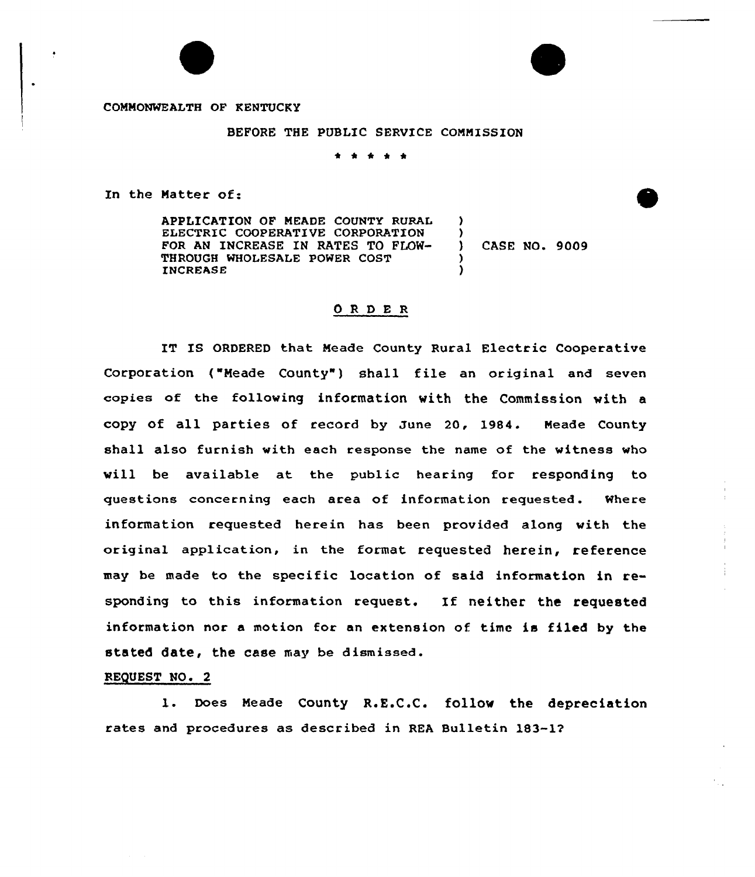COMMONWEALTH OF KENTUCKY

BEFORE THE PUBLIC SERVICE COMMISSION

\* \*

In the Natter of:

APPLICATION OF NEADE COUNTY RURAL ELECTRIC COOPERATIVE CORPORATION FOR AN INCREASE IN RATES TO FLOW-THROUGH WHOLESALE POWER COST INCREASE  $\mathbf{A}$  $\left\{ \right.$ ) )

) CASE NO. 9009

## ORDER

IT IS ORDERED that Neade County Rural Electric Cooperative Corporation ("Meade County") shall file an original and seven copies of the following information with the Commission with a copy of all parties of record by June 20, 1984. Neade County shall also furnish with each response the name of the witness who will be available at the public hearing for responding to questions concerning each area of information requested. Where information requested herein has been provided along with the original application, in the format. requested herein, reference may be made to the specific location of said information in responding to this information request. If neither the requested information nor a motion for an extension of. time is filed by the stated date, the case may be dismissed.

## REQUEST NO. 2

1. Does Neade County R.E.C.C. follow the depreciation rates and procedures as described in REA Bulletin 183-12'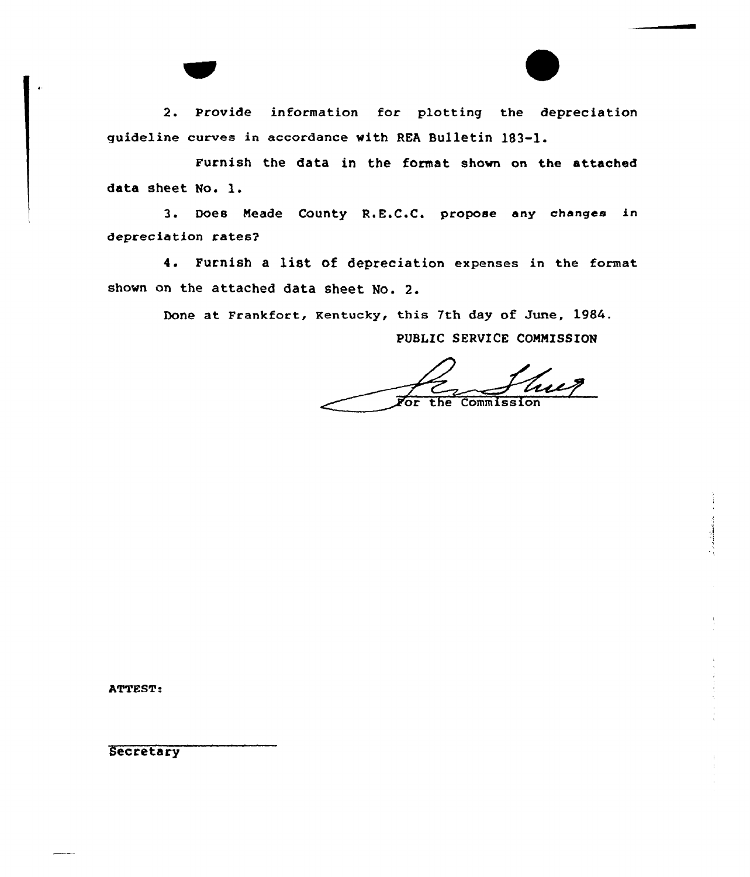2. Provide information for plotting the depreciation guideline curves in accordance with REA Bulletin 183-1.

Furnish the data in the format shown on the attached data sheet No. l.

3. Does Neade County R.E.C.C. propose any changes in depreciation rates2

4. Furnish <sup>a</sup> list of depreciation expenses in the format shown on the attached data sheet No. 2.

Done at Frankfort, Kentucky, this 7th day of June, 1984.

PUBLIC SERVICE COMMISSION

the Commission or

ATTEST:

Secretary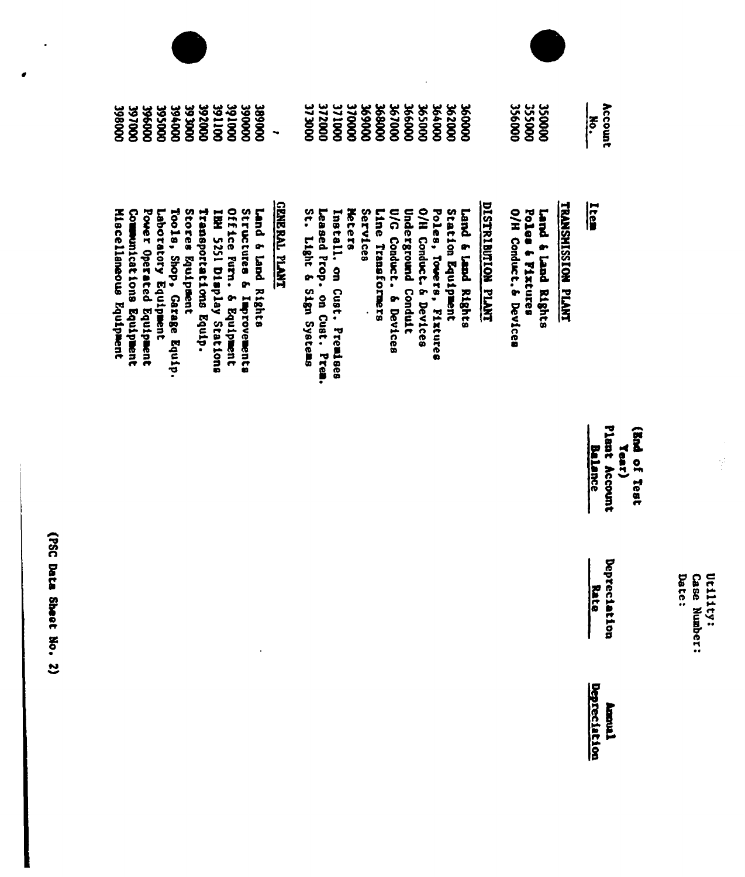| 3980000<br><b>00026E</b><br><b>DOO96E</b><br><b>DOOS6E</b><br><b>DO096E</b>                                                           | 391000<br><b>DOOG8E</b><br>392000<br>391100<br><b>DOOD6E</b><br><b>DOOC 6E</b>                                                                            | 372000<br><b>DOOK LE</b><br>371000<br>370000<br>٠                                                                            | 356000<br>355000<br>3500000<br>0000995<br>366000<br><b>265000</b><br><b>DO0099E</b><br>362000<br><b>00029E</b><br><b>DOOOOSE</b><br>000690                                                                                                                                                                                | Account<br>No.                                                |
|---------------------------------------------------------------------------------------------------------------------------------------|-----------------------------------------------------------------------------------------------------------------------------------------------------------|------------------------------------------------------------------------------------------------------------------------------|---------------------------------------------------------------------------------------------------------------------------------------------------------------------------------------------------------------------------------------------------------------------------------------------------------------------------|---------------------------------------------------------------|
| Miscellaneous Equipment<br>Power Operated Equipment<br>Laboratory Equipment<br>Communications Equipment<br>Tools, Shop, Garage Equip. | Stores Equipment<br>Office Purn.<br>Structures & Improvements<br>Transportations Equip.<br>Land 6 land Rights<br>IBH 5251 Display Stations<br>5 Equipment | <b>THALL LARED</b><br>St. Light & Sign Systems<br><b>Neters</b><br>Leased Prop. on Cust. Prem.<br>Install, on Cust. Premises | DISTRIBUTION PLANT<br>TAASSIISSIDS PLANT<br>Services<br>U/G Conduct. 6 Devices<br><b>Underground Condult</b><br>O/H Conduct. & Devices<br>Station Equipment<br>Poles, Tomers,<br>O/H Conduct. & Devices<br>Poles & Fixtures<br>Line Transformers<br><b>Capt &amp; Capt &amp; Capter</b><br>Lard & Lard Bights<br>Fixtures | <u>Ltes</u>                                                   |
|                                                                                                                                       |                                                                                                                                                           |                                                                                                                              |                                                                                                                                                                                                                                                                                                                           | Plant Account<br>GRA OL Teat<br><b>Balance</b><br><b>Tear</b> |
|                                                                                                                                       |                                                                                                                                                           |                                                                                                                              |                                                                                                                                                                                                                                                                                                                           | Deptect                                                       |
|                                                                                                                                       |                                                                                                                                                           |                                                                                                                              |                                                                                                                                                                                                                                                                                                                           | Rat<br>acion                                                  |

Utility:<br>Case Number:<br>Date:

(PSC Data Sheet No. 2)

 $\bullet$ 

 $\epsilon$